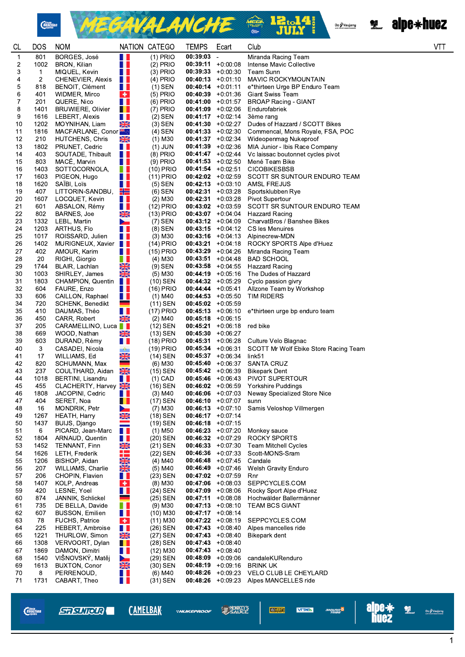







| <b>CL</b> | <b>DOS</b>                     | <b>NOM</b>                                 |                              | NATION CATEGO              | <b>TEMPS</b>                                 | Ecart                    | Club                                                | <b>VTT</b> |
|-----------|--------------------------------|--------------------------------------------|------------------------------|----------------------------|----------------------------------------------|--------------------------|-----------------------------------------------------|------------|
| 1         | 801                            | BORGES, José                               | H                            | $(1)$ PRIO                 | 00:39:03                                     | $\overline{\phantom{a}}$ | Miranda Racing Team                                 |            |
| 2         | 1002                           | BRON, Kilian                               | a p                          | $(2)$ PRIO                 | $00:39:11 + 0:00:08$                         |                          | Intense Mavic Collective                            |            |
| 3<br>4    | $\mathbf{1}$<br>$\overline{2}$ | MIQUEL, Kevin<br>CHENEVIER, Alexis         | H I<br><b>THE</b>            | $(3)$ PRIO<br>$(4)$ PRIO   | $00:39:33 + 0:00:30$<br>$00:40:13 + 0.01:10$ |                          | Team Sunn<br><b>MAVIC ROCKYMOUNTAIN</b>             |            |
| 5         | 818                            | BENOIT, Clément                            | H I                          | $(1)$ SEN                  | $00:40:14$ +0:01:11                          |                          | e*thirteen Urge BP Enduro Team                      |            |
| 6         | 401                            | WIDMER, Mirco                              | ÷                            | $(5)$ PRIO                 | $00:40:39 +0:01:36$                          |                          | <b>Giant Swiss Team</b>                             |            |
| 7         | 201                            | QUERE, Nico                                | a p                          | $(6)$ PRIO                 | $00:41:00$ +0:01:57                          |                          | <b>BROAP Racing - GIANT</b>                         |            |
| 8         | 1401                           | <b>BRUWIERE, Olivier</b>                   | <u>i l</u>                   | $(7)$ PRIO                 | $00:41:09$ +0:02:06                          |                          | Endurofabriek                                       |            |
| 9<br>10   | 1616<br>1202                   | LEBERT, Alexis<br>MOYNIHAN, Liam           | <b>Tara</b><br>XŘ            | $(2)$ SEN<br>$(3)$ SEN     | $00:41:17 + 0:02:14$<br>$00:41:30 +0:02:27$  |                          | 3ème rang<br>Dudes of Hazzard / SCOTT Bikes         |            |
| 11        | 1816                           | MACFARLANE, Conor <sup>36</sup>            |                              | $(4)$ SEN                  | $00:41:33 + 0:02:30$                         |                          | Commencal, Mons Royale, FSA, POC                    |            |
| 12        | 210                            | HUTCHENS, Chris                            | XK                           | $(1)$ M30                  | $00:41:37 +0:02:34$                          |                          | Wideopenmag Nukeproof                               |            |
| 13        | 1802                           | PRUNET, Cedric                             | H.                           | $(1)$ JUN                  | $00:41:39 + 0:02:36$                         |                          | MIA Junior - Ibis Race Company                      |            |
| 14        | 403                            | SOUTADE, Thibault                          | <b>THE</b>                   | $(8)$ PRIO                 | $00:41:47 +0:02:44$                          |                          | Vc laissac boutonnet cycles pivot                   |            |
| 15        | 803                            | MACÉ, Marvin                               | E E                          | $(9)$ PRIO                 | $00:41:53 + 0:02:50$                         |                          | Mené Team Bike                                      |            |
| 16<br>17  | 1403<br>1603                   | SOTTOCORNOLA,<br>PIGEON, Hugo              | H I<br>E E                   | $(10)$ PRIO<br>$(11)$ PRIO | $00:41:54 +0:02:51$<br>$00:42:02$ +0:02:59   |                          | <b>CICOBIKESBSB</b><br>SCOTT SR SUNTOUR ENDURO TEAM |            |
| 18        | 1620                           | SAÏBI, Loïs                                | H I                          | $(5)$ SEN                  | $00:42:13 + 0:03:10$                         |                          | AMSL FREJUS                                         |            |
| 19        | 407                            | LITTORIN-SANDBU,                           | 22                           | $(6)$ SEN                  | $00:42:31 + 0:03:28$                         |                          | Sportsklubben Rye                                   |            |
| 20        | 1607                           | LOCQUET, Kevin                             | H I                          | $(2)$ M30                  | $00:42:31 + 0:03:28$                         |                          | <b>Pivot Supertour</b>                              |            |
| 21        | 601                            | ABSALON, Rémy                              | a p                          | $(12)$ PRIO                | $00:43:02 +0:03:59$                          |                          | SCOTT SR SUNTOUR ENDURO TEAM                        |            |
| 22        | 802                            | BARNES, Joe                                | XK                           | $(13)$ PRIO                | $00:43:07$ +0:04:04<br>$00:43:12 +0:04:09$   |                          | Hazzard Racing<br>CharvatBros / Banshee Bikes       |            |
| 23<br>24  | 1332<br>1203                   | LEBL, Martin<br>ARTHUS, Flo                | $\blacktriangleright$<br>a p | (7) SEN<br>$(8)$ SEN       | $00:43:15 + 0:04:12$                         |                          | CS les Menuires                                     |            |
| 25        | 1017                           | ROISSARD, Julien                           | H II                         | $(3)$ M30                  | $00:43:16$ +0:04:13                          |                          | Alpinecrew-MDN                                      |            |
| 26        | 1402                           | MURIGNEUX, Xavier                          |                              | $(14)$ PRIO                | $00:43:21 + 0:04:18$                         |                          | ROCKY SPORTS Alpe d'Huez                            |            |
| 27        | 402                            | AMOUR, Karim                               | T F                          | $(15)$ PRIO                | $00:43:29 +0:04:26$                          |                          | Miranda Racing Team                                 |            |
| 28        | 20                             | RIGHI, Giorgio                             | n n                          | (4) M30                    | $00:43:51 + 0:04:48$                         |                          | <b>BAD SCHOOL</b>                                   |            |
| 29<br>30  | 1744<br>1003                   | BLAIR, Lachlan<br>SHIRLEY, James           | <b>NAVAR</b>                 | $(9)$ SEN<br>$(5)$ M30     | $00:43:58$ +0:04:55<br>$00:44:19 + 0:05:16$  |                          | <b>Hazzard Racing</b><br>The Dudes of Hazzard       |            |
| 31        | 1803                           | CHAMPION, Quentin                          |                              | $(10)$ SEN                 | $00:44:32 +0:05:29$                          |                          | Cyclo passion givry                                 |            |
| 32        | 604                            | FAURE, Enzo                                | a ka                         | (16) PRIO                  | $00:44:44 + 0:05:41$                         |                          | Allzone Team by Workshop                            |            |
| 33        | 606                            | CAILLON, Raphael                           | <u>r I</u>                   | (1) M40                    | $00:44:53 + 0:05:50$                         |                          | <b>TIM RIDERS</b>                                   |            |
| 34        | 720                            | SCHENK, Benedikt                           | ۰                            | $(11)$ SEN                 | $00:45:02 +0:05:59$                          |                          |                                                     |            |
| 35        | 410                            | DAUMAS, Théo                               | a p<br>XK                    | $(17)$ PRIO                | $00:45:13 + 0:06:10$                         |                          | e*thirteen urge bp enduro team                      |            |
| 36<br>37  | 450<br>205                     | CARR, Robert<br>CARAMELLINO, Luca          |                              | $(2)$ M40<br>(12) SEN      | $00:45:18$ +0:06:15<br>$00:45:21 + 0:06:18$  |                          | red bike                                            |            |
| 38        | 669                            | WOOD, Nathan                               | XK                           | $(13)$ SEN                 | $00:45:30 + 0:06:27$                         |                          |                                                     |            |
| 39        | 603                            | DURAND, Rémy                               | H.                           | $(18)$ PRIO                | $00:45:31 + 0:06:28$                         |                          | Culture Velo Blagnac                                |            |
| 40        | 3                              | CASADEI, Nicola                            | $\ddot{\bullet}$             | (19) PRIO                  | $00:45:34 +0:06:31$                          |                          | SCOTT Mr Wolf Ebike Store Racing Team               |            |
| 41        | 17                             | WILLIAMS, Ed                               | XK                           | $(14)$ SEN                 | $00:45:37 + 0.06:34$                         |                          | link51                                              |            |
| 42<br>43  | 820<br>237                     | SCHUMANN, Max<br>COULTHARD, Aidan          | ٠<br>XK                      | $(6)$ M30<br>(15) SEN      | $00:45:40 + 0:06:37$<br>$00:45:42 +0:06:39$  |                          | <b>SANTA CRUZ</b><br><b>Bikepark Dent</b>           |            |
| 44        | 1018                           | BERTINI, Lisandru                          | H.                           | $(1)$ CAD                  | $00:45:46$ +0:06:43                          |                          | PIVOT SUPERTOUR                                     |            |
| 45        | 455                            | CLACHERTY, Harvey                          |                              | (16) SEN                   | $00:46:02 +0:06:59$                          |                          | Yorkshire Puddings                                  |            |
| 46        | 1808                           | JACOPINI, Cedric                           | <b>The Co</b>                | $(3)$ M40                  | $00:46:06$ +0:07:03                          |                          | Neway Specialized Store Nice                        |            |
| 47        | 404                            | SERET, Noa                                 | H                            | (17) SEN                   | $00:46:10 + 0:07:07$                         |                          | sunn                                                |            |
| 48<br>49  | 16<br>1267                     | MONDRIK, Petr<br>HEATH, Harry              | $\blacktriangleright$        | $(7)$ M30<br>(18) SEN      | $00:46:13 + 0:07:10$<br>$00:46:17 + 0:07:14$ |                          | Samis Veloshop Villmergen                           |            |
| 50        | 1437                           | BUIJS, Django                              | <b>NK</b>                    | (19) SEN                   | $00:46:18$ +0:07:15                          |                          |                                                     |            |
| 51        | 6                              | PICARD, Jean-Marc                          | H.                           | $(1)$ M50                  | $00:46:23 +0:07:20$                          |                          | Monkey sauce                                        |            |
| 52        | 1804                           | ARNAUD, Quentin                            | H B                          | (20) SEN                   | $00:46:32 +0:07:29$                          |                          | <b>ROCKY SPORTS</b>                                 |            |
| 53        | 1452                           | TENNANT, Finn                              |                              | (21) SEN                   | $00:46:33 + 0:07:30$                         |                          | Team Mitchell Cycles                                |            |
| 54        | 1626                           | LETH, Frederik                             |                              | (22) SEN<br>$(4)$ M40      | $00:46:36$ +0:07:33                          |                          | Scott-MONS-Sram                                     |            |
| 55<br>56  | 1206<br>207                    | BISHOP, Aidan<br>WILLIAMS, Charlie         | <b>REAL PART</b>             | $(5)$ M40                  | $00:46:48$ +0:07:45<br>$00:46:49 + 0:07:46$  |                          | Candale<br><b>Welsh Gravity Enduro</b>              |            |
| 57        | 206                            | CHOPIN, Flavien                            | H.                           | (23) SEN                   | $00:47:02 +0:07:59$                          |                          | Rnr                                                 |            |
| 58        | 1407                           | KOLP, Andreas                              | $\bullet$                    | $(8)$ M30                  | $00:47:06$ +0:08:03                          |                          | SEPPCYCLES.COM                                      |            |
| 59        | 420                            | LESNE, Yoel                                | H.                           | (24) SEN                   | $00:47:09$ +0:08:06                          |                          | Rocky Sport Alpe d'Huez                             |            |
| 60        | 874                            | JANNIK, Schlickel                          | an di                        | (25) SEN                   | $00:47:11 + 0:08:08$                         |                          | Hochwälder Ballermänner                             |            |
| 61<br>62  | 735<br>607                     | DE BELLA, Davide<br><b>BUSSON, Emilien</b> | H I<br>H I                   | $(9)$ M30<br>$(10)$ M30    | $00:47:13 + 0:08:10$<br>$00:47:17 + 0:08:14$ |                          | <b>TEAM BCS GIANT</b>                               |            |
| 63        | 78                             | FUCHS, Patrice                             | $\bullet$                    | $(11)$ M30                 | $00:47:22 +0:08:19$                          |                          | SEPPCYCLES.COM                                      |            |
| 64        | 225                            | <b>HEBERT, Ambroise</b>                    | H I                          | (26) SEN                   | $00:47:43 + 0:08:40$                         |                          | Alpes mancelles ride                                |            |
| 65        | 1221                           | THURLOW, Simon                             | $rac{N}{N}$                  | (27) SEN                   | $00:47:43 + 0:08:40$                         |                          | Bikepark dent                                       |            |
| 66        | 1308                           | VERVOORT, Dylan                            | $\blacksquare$               | (28) SEN                   | $00:47:43 + 0:08:40$                         |                          |                                                     |            |
| 67<br>68  | 1869<br>1540                   | DAMON, Dimitri<br>VIŠNOVSKÝ, Matěj         | H.<br>$\blacktriangleright$  | $(12)$ M30<br>(29) SEN     | $00:47:43 + 0:08:40$<br>$00:48:09 + 0:09:06$ |                          | candaleKURenduro                                    |            |
| 69        | 1613                           | <b>BUXTON, Conor</b>                       | $\frac{N}{N}$                | (30) SEN                   | $00:48:19 + 0:09:16$                         |                          | <b>BRINK UK</b>                                     |            |
| 70        | 8                              | PERRENOUD,                                 | a p                          | $(6)$ M40                  | $00:48:26$ +0:09:23                          |                          | VELO CLUB LE CHEYLARD                               |            |
| 71        | 1731                           | CABART, Theo                               | O D                          | (31) SEN                   | $00:48:26 + 0:09:23$                         |                          | Alpes MANCELLES ride                                |            |
|           |                                |                                            |                              |                            |                                              |                          |                                                     |            |

*Chain*<br>*Reaction* 

**STRUIRER** 

**CAMELBAK** 

**\*NUKEPROOF** 

**SAUCE VEOVERT** 

angung <sup>S</sup>

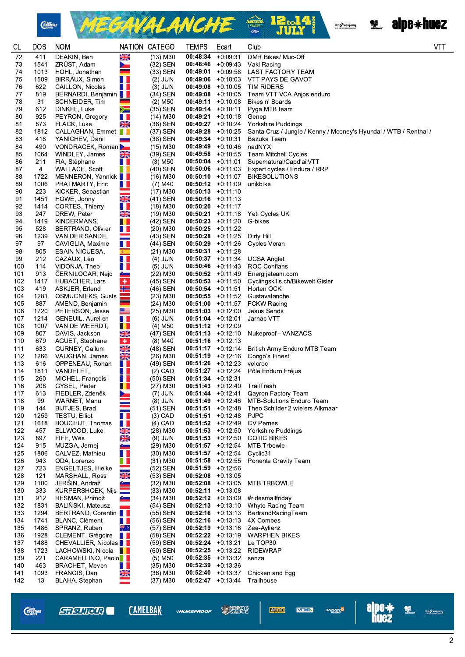

MEGAVALANCHE & BI.14 Oz / Vaujany<br>AM OWAY GAND DOMANCE



| CL         | <b>DOS</b>  | <b>NOM</b>                                  |                        | NATION CATEGO           | TEMPS                                       | Ecart                    | Club                                                             | VT. |
|------------|-------------|---------------------------------------------|------------------------|-------------------------|---------------------------------------------|--------------------------|------------------------------------------------------------------|-----|
| 72         | 411         | DEAKIN, Ben                                 | X                      | $(13)$ M30              | 00:48:34                                    | $+0:09:31$               | DMR Bikes/ Muc-Off                                               |     |
| 73         | 1541        | ZRÜST, Adam                                 | $\blacktriangleright$  | (32) SEN                | 00:48:46                                    | +0:09:43                 | Vakl Racing                                                      |     |
| 74         | 1013        | HOHL, Jonathan                              | $\equiv$               | $(33)$ SEN              | 00:49:01                                    | $+0:09:58$               | <b>LAST FACTORY TEAM</b>                                         |     |
| 75         | 1509        | BIRRAUX, Simon                              | W                      | $(2)$ JUN               | 00:49:06                                    | +0:10:03                 | VTT PAYS DE GAVOT                                                |     |
| 76<br>77   | 622<br>819  | CAILLON, Nicolas<br>BERNARDI, Benjamin      | H                      | $(3)$ JUN<br>(34) SEN   | 00:49:08<br>00:49:08                        | $+0:10:05$<br>$+0.10:05$ | <b>TIM RIDERS</b><br>Team VTT VCA Anjos enduro                   |     |
| 78         | 31          | SCHNEIDER, Tim                              |                        | $(2)$ M50               | 00:49:11                                    | +0:10:08                 | Bikes n' Boards                                                  |     |
| 79         | 612         | DINKEL, Luke                                | Ň                      | (35) SEN                |                                             | $00:49:14 + 0:10:11$     | Pyga MTB team                                                    |     |
| 80         | 925         | PEYRON, Gregory                             | H.                     | (14) M30                | 00:49:21                                    | +0:10:18                 | Genep                                                            |     |
| 81         | 873         | FLACK, Luke                                 | X                      | (36) SEN                | 00:49:27                                    | $+0:10:24$               | Yorkshire Puddings                                               |     |
| 82         | 1812        | CALLAGHAN, Emmet                            |                        | (37) SEN                | 00:49:28                                    | $+0.10.25$               | Santa Cruz / Jungle / Kenny / Mooney's Hyundai / WTB / Renthal / |     |
| 83         | 418         | YANICHEV, Danil                             | <b>Contract</b>        | (38) SEN                | $00:49:34 +0:10:31$                         |                          | Bazuka Team                                                      |     |
| 84<br>85   | 490         | VONDRACEK, Roman                            |                        | $(15)$ M30<br>(39) SEN  | 00:49:49                                    | +0:10:46                 | nadNYX                                                           |     |
| 86         | 1064<br>211 | WINDLEY, James<br>FIA, Stéphane             | XK<br>H.               | $(3)$ M <sub>50</sub>   | $00:49:58$ +0:10:55<br>$00:50:04$ +0:11:01  |                          | Team Mitchell Cycles<br>Supernatural/Capd'ailVTT                 |     |
| 87         | 4           | WALLACE, Scott                              | N.                     | (40) SEN                | $00:50:06$ +0:11:03                         |                          | Expert cycles / Endura / RRP                                     |     |
| 88         | 1722        | MENNERON, Yannick                           |                        | (16) M30                | $00:50:10 +0:11:07$                         |                          | <b>BIKESOLUTIONS</b>                                             |     |
| 89         | 1006        | PRATMARTY, Eric                             | H L                    | $(7)$ M40               | $00:50:12 +0:11:09$                         |                          | unikbike                                                         |     |
| 90         | 223         | KICKER, Sebastian                           | ÷.                     | (17) M30                | $00:50:13 + 0:11:10$                        |                          |                                                                  |     |
| 91         | 1451        | HOWE, Jonny                                 | NK<br>II               | $(41)$ SEN              | $00:50:16$ +0:11:13                         |                          |                                                                  |     |
| 92         | 1414        | CORTES, Thierry                             | $\frac{1}{2}$          | $(18)$ M30              | $00:50:20 +0:11:17$                         |                          | Yeti Cycles UK                                                   |     |
| 93<br>94   | 247<br>1419 | DREW, Peter<br>KINDERMANS,                  | <u>i li</u>            | (19) M30<br>(42) SEN    | 00:50:21<br>$00:50:23 +0:11:20$             | +0:11:18                 | G-bikes                                                          |     |
| 95         | 528         | <b>BERTRAND, Olivier</b>                    | <u>r II</u>            | (20) M30                | $00:50:25$ +0:11:22                         |                          |                                                                  |     |
| 96         | 1239        | VAN DER SANDE.                              |                        | (43) SEN                | $00:50:28$ +0:11:25                         |                          | Dirty Hill                                                       |     |
| 97         | 97          | CAVIGLIA, Maxime                            | $\blacksquare$         | (44) SEN                | 00:50:29                                    | $+0:11:26$               | Cycles Veran                                                     |     |
| 98         | 805         | ESAIN NICUESA,                              | 案。                     | (21) M30                | 00:50:31                                    | +0:11:28                 |                                                                  |     |
| 99         | 212         | CAZAUX, Léo                                 | H I                    | $(4)$ JUN               | $00:50:37$ +0:11:34                         |                          | <b>UCSA Anglet</b>                                               |     |
| 100        | 114<br>913  | VIDONJA, Theo                               | Ш                      | $(5)$ JUN               | $00:50:46$ +0:11:43<br>$00:50:52 +0:11:49$  |                          | <b>ROC Conflans</b>                                              |     |
| 101<br>102 | 1417        | CERNILOGAR, Nejc<br>HUBACHER, Lars          | ÷,<br>$\bullet$        | $(22)$ M30<br>(45) SEN  | $00:50:53 +0:11:50$                         |                          | Energijateam.com<br>Cyclingskills.ch/Bikewelt Gisler             |     |
| 103        | 419         | ASKJER, Erlend                              | ٢Ē                     | (46) SEN                | $00:50:54$ +0:11:51                         |                          | Horten OCK                                                       |     |
| 104        | 1281        | OSMUCNIEKS, Gusts                           |                        | (23) M30                | $00:50:55$ +0:11:52                         |                          | Gustavalanche                                                    |     |
| 105        | 887         | AMEND, Benjamin                             | $\mathbf{r}$           | $(24)$ M30              | $00:51:00 +0:11:57$                         |                          | <b>FCKW Racing</b>                                               |     |
| 106        | 1720        | PETERSON, Jesse                             | ≝                      | $(25)$ M30              | $00:51:03 +0:12:00$                         |                          | Jesus Sends                                                      |     |
| 107        | 1214        | GENEUIL, Aurelien                           | H I                    | $(6)$ JUN               | $00:51:04$ +0:12:01                         |                          | Jarnac VTT                                                       |     |
| 108<br>109 | 1007<br>807 | VAN DE WEERDT,<br>DAVIS, Jackson            | a pro<br>$\frac{N}{N}$ | (4) M50<br>(47) SEN     | $00:51:12 +0:12:09$<br>$00:51:13 + 0:12:10$ |                          | Nukeproof - VANZACS                                              |     |
| 110        | 679         | AGUET, Stephane                             | $\bullet$              | $(8)$ M40               | $00:51:16$ +0:12:13                         |                          |                                                                  |     |
| 111        | 633         | GURNEY, Callum                              |                        | (48) SEN                | $00:51:17 + 0:12:14$                        |                          | British Army Enduro MTB Team                                     |     |
| 112        | 1266        | VAUGHAN, James                              | <b>NEAR</b>            | $(26)$ M30              | $00:51:19 + 0:12:16$                        |                          | Congo's Finest                                                   |     |
| 113        | 616         | OPPENEAU, Ronan                             | H I                    | (49) SEN                | $00:51:26$ +0:12:23                         |                          | veloroc                                                          |     |
| 114        | 1811        | VANDELET,                                   | O B                    | $(2)$ CAD               | $00:51:27 +0:12:24$                         |                          | Pôle Enduro Fréjus                                               |     |
| 115<br>116 | 260<br>208  | MICHEL, François<br>GYSEL, Pieter           | H I<br>H.              | (50) SEN<br>$(27)$ M30  | $00:51:34 +0:12:31$<br>$00:51:43 +0:12:40$  |                          | TrailTrash                                                       |     |
| 117        | 613         | FIEDLER, Zdeněk                             | ►                      | (7) JUN                 |                                             | $00:51:44$ +0:12:41      | Qayron Factory Team                                              |     |
| 118        | 99          | WARNET, Manu                                |                        | $(8)$ JUN               |                                             |                          | 00:51:49 +0:12:46 MTB-Solutions Enduro Team                      |     |
| 119        | 144         | BIJTJES, Brad                               | $\equiv$               | (51) SEN                |                                             | $00:51:51 + 0:12:48$     | Theo Schilder 2 wielers Alkmaar                                  |     |
| 120        | 1259        | TESTU, Elliot                               | H I                    | $(3)$ CAD               | $00:51:51 + 0:12:48$                        |                          | <b>PJPC</b>                                                      |     |
| 121        | 1618        | BOUCHUT, Thomas                             | H                      | $(4)$ CAD               | $00:51:52 +0:12:49$                         |                          | <b>CV Pernes</b>                                                 |     |
| 122        | 457         | ELLWOOD, Luke                               | NZNA                   | $(28)$ M30              | $00:51:53 + 0:12:50$                        |                          | Yorkshire Puddings                                               |     |
| 123<br>124 | 897<br>915  | FIFE, Wes<br>MUZGA, Jernej                  |                        | $(9)$ JUN<br>(29) M30   | $00:51:53 +0:12:50$<br>$00:51:57$ +0:12:54  |                          | <b>COTIC BIKES</b><br><b>MTB Trbowle</b>                         |     |
| 125        | 1806        | CALVEZ, Mathieu                             | H I                    | $(30)$ M30              | $00:51:57$ +0:12:54                         |                          | Cyclic31                                                         |     |
| 126        | 943         | ODA, Lorenzo                                | H.                     | $(31)$ M30              | $00:51:58$ +0:12:55                         |                          | Ponente Gravity Team                                             |     |
| 127        | 723         | <b>ENGELTJES, Hielke</b>                    |                        | (52) SEN                | $00:51:59 + 0:12:56$                        |                          |                                                                  |     |
| 128        | 121         | MARSHALL, Ross                              | XK                     | (53) SEN                | 00:52:08                                    | +0:13:05                 |                                                                  |     |
| 129        | 1100        | JERŠIN, Andraž                              |                        | $(32)$ M30              | $00:52:08$ +0:13:05                         |                          | <b>MTB TRBOWLE</b>                                               |     |
| 130        | 333         | KURPERSHOEK, Nijs                           |                        | $(33)$ M30              | $00:52:11 + 0:13:08$                        |                          |                                                                  |     |
| 131<br>132 | 912<br>1831 | RESMAN, Primož<br><b>BALINSKI, Mateusz</b>  |                        | $(34)$ M30<br>(54) SEN  |                                             | $00:52:12 +0:13:09$      | #ridesmallfriday<br>$00:52:13 + 0:13:10$ Whyte Racing Team       |     |
| 133        | 1294        | BERTRAND, Corentin                          |                        | (55) SEN                | $00:52:16$ +0:13:13                         |                          | BertrandRacingTeam                                               |     |
| 134        | 1741        | BLANC, Clément                              | H I                    | (56) SEN                |                                             | $00:52:16$ +0:13:13      | 4X Combes                                                        |     |
| 135        | 1486        | SPRANZ, Ruben                               | Ж.,                    | (57) SEN                | $00:52:19 + 0:13:16$                        |                          | Zee-Aylienz                                                      |     |
| 136        | 1928        | CLEMENT, Grégoire                           |                        | (58) SEN                | $00:52:22 +0:13:19$                         |                          | <b>WARPHEN BIKES</b>                                             |     |
| 137        | 1488        | CHEVALLIER, Nicolas                         |                        | (59) SEN                | $00:52:24 +0:13:21$                         |                          | Le TOP30                                                         |     |
| 138        | 1723        | LACHOWSKI, Nicola                           |                        | $(60)$ SEN              | $00:52:25 +0:13:22$<br>$00:52:35 +0:13:32$  |                          | <b>RIDEWRAP</b>                                                  |     |
| 139<br>140 | 221<br>463  | CARAMELLINO, Paolo<br><b>BRACHET, Meven</b> | H I                    | $(5)$ M50<br>$(35)$ M30 | $00:52:39 +0:13:36$                         |                          | senza                                                            |     |
| 141        | 1093        | FRANCIS, Dan                                |                        | $(36)$ M30              | $00:52:40 +0:13:37$                         |                          | Chicken and Egg                                                  |     |
| 142        | 13          | BLAHA, Stephan                              | <b>NK</b>              | $(37)$ M30              | $00:52:47$ +0:13:44                         |                          | Trailhouse                                                       |     |
|            |             |                                             |                        |                         |                                             |                          |                                                                  |     |

```
Chain<br>Reaction
```
**CAMELBAK** 

**SAUCE \*NUKEPROOF** 

**VEOVERT!** 

angung <sup>S</sup>



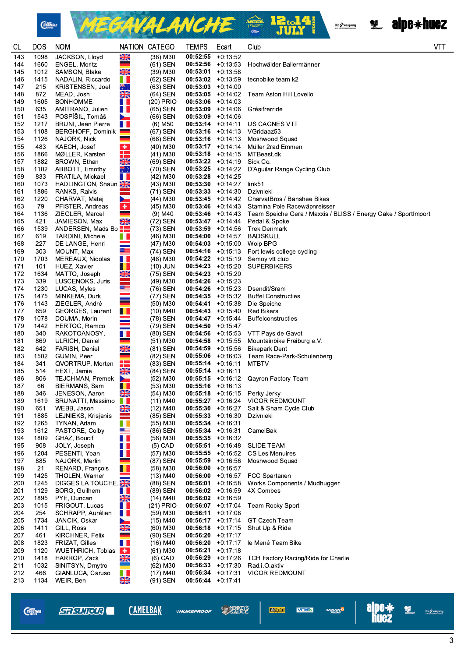





| <b>CL</b>  | <b>DOS</b>   | <b>NOM</b>                         |                          | NATION CATEGO          | <b>TEMPS</b>                                 | Ecart      | Club                                                                            | <b>VTT</b> |
|------------|--------------|------------------------------------|--------------------------|------------------------|----------------------------------------------|------------|---------------------------------------------------------------------------------|------------|
| 143        | 1098         | JACKSON, Lloyd                     | NK<br>Da                 | (38) M30               | 00:52:55                                     | $+0:13:52$ |                                                                                 |            |
| 144        | 1660         | ENGEL, Moritz                      |                          | (61) SEN               | $00:52:56$ +0:13:53                          |            | Hochwälder Ballermänner                                                         |            |
| 145<br>146 | 1012<br>1415 | SAMSON, Blake<br>NADALIN, Riccardo | XK<br>W                  | (39) M30<br>(62) SEN   | $00:53:01 + 0:13:58$<br>$00:53:02 +0:13:59$  |            | tecnobike team k2                                                               |            |
| 147        | 215          | <b>KRISTENSEN, Joel</b>            | त्रह∵                    | $(63)$ SEN             | $00:53:03 +0:14:00$                          |            |                                                                                 |            |
| 148        | 872          | MEAD, Josh                         | $\frac{N}{N}$            | (64) SEN               | $00:53:05$ +0:14:02                          |            | Team Aston Hill Lovello                                                         |            |
| 149        | 1605         | <b>BONHOMME</b>                    | u L                      | $(20)$ PRIO            | $00:53:06$ +0:14:03                          |            |                                                                                 |            |
| 150        | 635          | AMITRANO, Julien                   | $\blacksquare$           | (65) SEN               | $00:53:09$ +0:14:06                          |            | Grésifrerride                                                                   |            |
| 151        | 1543         | POSPÍŠIL, Tomáš                    | ►                        | (66) SEN               | $00:53:09$ +0:14:06                          |            |                                                                                 |            |
| 152        | 1217         | <b>BRUNI</b> , Jean Pierre         | H.                       | (6) M50                | $00:53:14$ +0:14:11                          |            | US CAGNES VTT                                                                   |            |
| 153        | 1108         | <b>BERGHOFF, Dominik</b>           |                          | (67) SEN               | $00:53:16$ +0:14:13                          |            | VGridaaz53                                                                      |            |
| 154        | 1126         | NAJORK, Nick                       |                          | (68) SEN               | $00:53:16$ +0:14:13                          |            | Moshwood Squad                                                                  |            |
| 155<br>156 | 483<br>1866  | KAECH, Josef<br>MØLLER, Karsten    | $\bullet$<br>╅═          | (40) M30<br>$(41)$ M30 | $00:53:17 + 0:14:14$<br>$00:53:18$ +0:14:15  |            | Müller 2rad Emmen<br>MTBeast.dk                                                 |            |
| 157        | 1882         | BROWN, Ethan                       | <b>SK</b>                | (69) SEN               | $00:53:22 +0:14:19$                          |            | Sick Co.                                                                        |            |
| 158        | 1102         | ABBOTT, Timothy                    | त्रह∵                    | (70) SEN               | $00:53:25 +0:14:22$                          |            | D'Aguilar Range Cycling Club                                                    |            |
| 159        | 833          | FRATILA, Mickael                   | O I                      | (42) M30               | $00:53:28$ +0:14:25                          |            |                                                                                 |            |
| 160        | 1073         | HADLINGTON, Shaun                  |                          | $(43)$ M30             | $00:53:30 +0:14:27$                          |            | link51                                                                          |            |
| 161        | 1886         | RANKS, Raivis                      | Ξ                        | (71) SEN               | $00:53:33 + 0:14:30$                         |            | Dzivnieki                                                                       |            |
| 162        | 1220         | CHARVAT, Matej                     | $\overline{\phantom{0}}$ | $(44)$ M30             | $00:53:45 +0:14:42$                          |            | CharvatBros / Banshee Bikes                                                     |            |
| 163        | 79           | PFISTER, Andreas                   | $\pm$<br>÷               | (45) M30               | $00:53:46$ +0:14:43                          |            | Stamina Pole Racewäpnreisser                                                    |            |
| 164<br>165 | 1136<br>421  | ZIEGLER, Marcel<br>JAMIESON, Max   |                          | $(9)$ M40<br>(72) SEN  | $00:53:46$ +0:14:43<br>$00:53:47 +0:14:44$   |            | Team Speiche Gera / Maxxis / BLISS / Energy Cake / SportImport<br>Pedal & Spoke |            |
| 166        | 1539         | ANDERSEN, Mads Bo -                | XK                       | (73) SEN               | $00:53:59 +0:14:56$                          |            | <b>Trek Denmark</b>                                                             |            |
| 167        | 619          | <b>TARDINI, Michele</b>            | u L                      | $(46)$ M30             | $00:54:00 +0:14:57$                          |            | <b>BADSKULL</b>                                                                 |            |
| 168        | 227          | DE LANGE, Henri                    | $\equiv$                 | $(47)$ M30             | $00:54:03 +0:15:00$                          |            | Woip BPG                                                                        |            |
| 169        | 303          | MOUNT, Max                         |                          | (74) SEN               | $00:54:16$ +0:15:13                          |            | Fort lewis college cycling                                                      |            |
| 170        | 1703         | MEREAUX, Nicolas                   | H I                      | (48) M30               | $00:54:22 +0:15:19$                          |            | Semoy vtt club                                                                  |            |
| 171        | 101          | HUEZ, Xavier                       | H                        | $(10)$ JUN             | $00:54:23 + 0:15:20$                         |            | <b>SUPERBIKERS</b>                                                              |            |
| 172        | 1634         | MATTO, Joseph                      | NK<br>Heiman             | (75) SEN               | $00:54:23 + 0:15:20$                         |            |                                                                                 |            |
| 173<br>174 | 339<br>1230  | LUSCENOKS, Juris<br>LUCAS, Myles   |                          | (49) M30<br>(76) SEN   | $00:54:26$ +0:15:23<br>$00:54:26$ +0:15:23   |            | Dsendit/Sram                                                                    |            |
| 175        | 1475         | MINKEMA, Durk                      |                          | (77) SEN               | $00:54:35 + 0:15:32$                         |            | <b>Buffel Constructies</b>                                                      |            |
| 176        | 1143         | ZIEGLER, André                     | Ξ                        | (50) M30               | $00:54:41 + 0:15:38$                         |            | Die Speiche                                                                     |            |
| 177        | 659          | GEORGES, Laurent                   | $\blacksquare$           | (10) M40               | $00:54:43 + 0:15:40$                         |            | <b>Red Bikers</b>                                                               |            |
| 178        | 1078         | DOUMA, Morin                       |                          | (78) SEN               | $00:54:47$ +0:15:44                          |            | Buffelconstructies                                                              |            |
| 179        | 1442         | HERTOG, Remco                      | $\equiv$                 | (79) SEN               | $00:54:50 + 0:15:47$                         |            |                                                                                 |            |
| 180        | 340          | RAKOTOANOSY,                       | H.                       | (80) SEN               | $00:54:56$ +0:15:53                          |            | VTT Pays de Gavot                                                               |            |
| 181<br>182 | 869<br>642   | ULRICH, Daniel<br>FARISH, Daniel   | a a<br>XX                | (51) M30<br>$(81)$ SEN | $00:54:58$ +0:15:55<br>$00:54:59 + 0:15:56$  |            | Mountainbike Freiburg e.V.<br><b>Bikepark Dent</b>                              |            |
| 183        | 1502         | GUMIN, Peer                        |                          | (82) SEN               | $00:55:06$ +0:16:03                          |            | Team Race-Park-Schulenberg                                                      |            |
| 184        | 341          | QVORTRUP, Morten                   | 22                       | (83) SEN               | $00:55:14$ +0:16:11                          |            | MTBTV                                                                           |            |
| 185        | 514          | HEXT, Jamie                        | $\frac{N}{N}$            | (84) SEN               | $00:55:14 + 0:16:11$                         |            |                                                                                 |            |
| 186        | 806          | TEJCHMAN, Premek                   | $\mathbf{r}$             | (52) M30               | $00:55:15 + 0:16:12$                         |            | <b>Qayron Factory Team</b>                                                      |            |
| 187        | 66           | BIERMANS, Sam                      | П.                       | $(53)$ M30             | $00:55:16$ +0:16:13                          |            |                                                                                 |            |
| 188        | 346          | JENESON, Aaron                     | XK                       | $(54)$ M30             | $00:55:18$ +0:16:15                          |            | Perky Jerky                                                                     |            |
| 189<br>190 | 1619<br>651  | BRUNATTI, Massimo<br>WEBB, Jason   | X                        | $(11)$ M40<br>(12) M40 | $00:55:27 +0:16:24$<br>$00:55:30 +0:16:27$   |            | VIGOR REDMOUNT<br>Salt & Sham Cycle Club                                        |            |
| 191        | 1885         | LEJNIEKS, Krisjanis                |                          | (85) SEN               | $00:55:33 +0:16:30$                          |            | Dzivnieki                                                                       |            |
| 192        | 1265         | TYNAN, Adam                        | H.                       | (55) M30               | $00:55:34 + 0:16:31$                         |            |                                                                                 |            |
| 193        | 1612         | PASTORE, Colby                     | ≝                        | (86) SEN               | $00:55:34 +0:16:31$                          |            | CamelBak                                                                        |            |
| 194        | 1809         | GHAZ, Boucif                       | O D                      | $(56)$ M30             | $00:55:35 + 0:16:32$                         |            |                                                                                 |            |
| 195        | 908          | JOLY, Joseph                       | $\blacksquare$           | $(5)$ CAD              | $00:55:51 + 0:16:48$                         |            | <b>SLIDE TEAM</b>                                                               |            |
| 196        | 1204         | PESENTI, Yoan                      | H                        | $(57)$ M30             | $00:55:55 + 0:16:52$                         |            | <b>CS Les Menuires</b>                                                          |            |
| 197<br>198 | 885<br>21    | NAJORK, Merlin<br>RENARD, François | <b>TI</b>                | (87) SEN<br>$(58)$ M30 | $00:55:59 + 0:16:56$<br>$00:56:00 +0:16:57$  |            | Moshwood Squad                                                                  |            |
| 199        | 1425         | <b>THOLEN, Warner</b>              | Ξ                        | (13) M40               | $00:56:00 +0:16:57$                          |            | <b>FCC Spartanen</b>                                                            |            |
| 200        | 1245         | DIGGES LA TOUCHE,                  |                          | (88) SEN               | $00:56:01 + 0:16:58$                         |            | Works Components / Mudhugger                                                    |            |
| 201        | 1129         | <b>BORG, Guilhem</b>               | O I                      | (89) SEN               | $00:56:02 +0:16:59$                          |            | 4X Combes                                                                       |            |
| 202        | 1895         | PYE, Duncan                        | X                        | $(14)$ M40             | $00:56:02 +0:16:59$                          |            |                                                                                 |            |
| 203        | 1015         | FRIGOUT, Lucas                     | $\blacksquare$           | $(21)$ PRIO            | $00:56:07$ +0:17:04                          |            | <b>Team Rocky Sport</b>                                                         |            |
| 204        | 254          | SCHRAPP, Aurélien                  | H.                       | (59) M30               | 00:56:11                                     | +0:17:08   |                                                                                 |            |
| 205<br>206 | 1734<br>1411 | JANCIK, Oskar<br>GILL, Ross        | <b>NK</b>                | (15) M40<br>$(60)$ M30 | $00:56:17 + 0:17:14$<br>$00:56:18 + 0:17:15$ |            | GT Czech Team<br>Shut Up & Ride                                                 |            |
| 207        | 461          | KIRCHNER, Felix                    | والمناد                  | (90) SEN               | $00:56:20 +0:17:17$                          |            |                                                                                 |            |
| 208        | 1823         | FRIZAT, Gilles                     | H I                      | $(16)$ M40             | $00:56:20 +0:17:17$                          |            | le Mené Team Bike                                                               |            |
| 209        | 1120         | <b>WUETHRICH, Tobias</b>           | H.                       | (61) M30               | 00:56:21                                     | $+0:17:18$ |                                                                                 |            |
| 210        | 1418         | HARROP, Zack                       | $\frac{N}{2N}$           | $(6)$ CAD              | $00:56:29 +0:17:26$                          |            | <b>TCH Factory Racing/Ride for Charlie</b>                                      |            |
| 211        | 1032         | SINITSYN, Dmytro                   | e e                      | $(62)$ M30             | $00:56:33 +0:17:30$                          |            | Rad.i.O.aktiv                                                                   |            |
| 212        | 466          | GIANLUCA, Caruso                   | H I                      | $(17)$ M40             | $00:56:34 +0:17:31$                          |            | <b>VIGOR REDMOUNT</b>                                                           |            |
| 213        | 1134         | WEIR, Ben                          | X                        | (91) SEN               | $00:56:44 + 0:17:41$                         |            |                                                                                 |            |

*Chain*<br>*Reaction* 

**STRUIRER** 

**CAMELBAK \*NUKEPROOF**  **SAUCE** 

**VEOVERT VTTAEA** 

angung <sup>S</sup>





 $\overline{3}$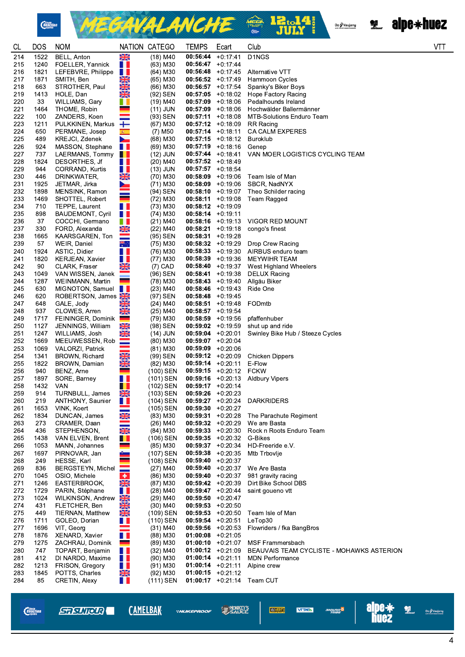

MEGAVALANCHE <sup>@ 12.14</sup>



**VTT** 

| <b>CL</b>  | <b>DOS</b>   | <b>NOM</b>                              |                       | NATION CATEGO            | <b>TEMPS</b>                                | Ecart                | Club                                                          |
|------------|--------------|-----------------------------------------|-----------------------|--------------------------|---------------------------------------------|----------------------|---------------------------------------------------------------|
| 214        | 1522         | BELL, Anton                             | ▒                     | $(18)$ M40               | 00:56:44                                    | $+0:17:41$           | D1NGS                                                         |
| 215        | 1240         | FOELLER, Yannick                        | ШL                    | (63) M30                 | $00:56:47$ +0:17:44                         |                      |                                                               |
| 216        | 1821         | LEFEBVRE, Philippe                      | a ka                  | (64) M30                 | $00:56:48$ +0:17:45                         |                      | Alternative VTT                                               |
| 217        | 1871         | SMITH, Ben                              | X                     | (65) M30                 | $00:56:52 +0:17:49$                         |                      | Hammoon Cycles                                                |
| 218        | 663          | STROTHER, Paul                          | XK                    | (66) M30                 | $00:56:57 +0:17:54$                         |                      | Spanky's Biker Boys                                           |
| 219        | 1413         | HOLE, Dan                               | X                     | (92) SEN                 | $00:57:05$ +0:18:02                         |                      | Hope Factory Racing                                           |
| 220        | 33           | WILLIAMS, Gary                          | a ka                  | (19) M40                 | $00:57:09$ +0:18:06                         |                      | Pedalhounds Ireland                                           |
| 221        | 1464         | THOME, Robin                            |                       | (11) JUN                 | $00:57:09$ +0:18:06                         |                      | Hochwälder Ballermänner                                       |
| 222        | 100          | ZANDERS, Koen                           |                       | (93) SEN                 | $00:57:11 + 0:18:08$                        |                      | <b>MTB-Solutions Enduro Team</b>                              |
| 223        | 1211         | PULKKINEN, Markus                       | ┿                     | (67) M30                 | $00:57:12 +0:18:09$                         |                      | <b>RR</b> Racing                                              |
| 224        | 650          | PERMANE, Josep                          | 编                     | (7) M50                  | $00:57:14$ +0:18:11                         |                      | CA CALM EXPERES                                               |
| 225        | 489          | KREJCI, Zdenek                          | $\blacktriangleright$ | $(68)$ M30               | $00:57:15 + 0:18:12$                        |                      | Buroklub                                                      |
| 226        | 924          | MASSON, Stephane                        | H I                   | $(69)$ M30               | $00:57:19 + 0:18:16$                        |                      | Genep                                                         |
| 227        | 737          | LAERMANS, Tommy                         | <u>a k</u>            | $(12)$ JUN               | $00:57:44 + 0:18:41$                        |                      | VAN MOER LOGISTICS CYCLING TEAM                               |
| 228        | 1824         | DESORTHES, Jf                           | HH.                   | $(20)$ M40               | $00:57:52 +0:18:49$                         |                      |                                                               |
| 229        | 944          | CORRAND, Kurtis                         | <u>a la</u>           | (13) JUN                 | $00:57:57$ +0:18:54                         |                      |                                                               |
| 230        | 446          | DRINKWATER,                             | XK                    | (70) M30                 | $00:58:09 +0:19:06$                         |                      | Team Isle of Man                                              |
| 231<br>232 | 1925<br>1898 | JETMAR, Jirka<br>MENSINK, Ramon         | <b>Service</b>        | (71) M30<br>(94) SEN     | $00:58:09 +0:19:06$<br>$00:58:10 + 0:19:07$ |                      | SBCR, NadNYX<br>Theo Schilder racing                          |
| 233        | 1469         | SHOTTEL, Robert                         |                       | $(72)$ M30               | 00:58:11                                    | +0:19:08             | Team Ragged                                                   |
| 234        | 710          | TEPPE, Laurent                          | H.                    | (73) M30                 | $00:58:12 +0:19:09$                         |                      |                                                               |
| 235        | 898          | <b>BAUDEMONT, Cyril</b>                 | $\blacksquare$        | $(74)$ M30               | $00:58:14 + 0:19:11$                        |                      |                                                               |
| 236        | 37           | COCCHI, Germano                         | H I                   | $(21)$ M40               | $00:58:16$ +0:19:13                         |                      | <b>VIGOR RED MOUNT</b>                                        |
| 237        | 330          | FORD, Alexanda                          | XK                    | (22) M40                 | 00:58:21                                    | +0:19:18             | congo's finest                                                |
| 238        | 1665         | KAARSGAREN, Ton                         |                       | (95) SEN                 | 00:58:31                                    | $+0.19.28$           |                                                               |
| 239        | 57           | WEIR, Daniel                            | त्≭                   | (75) M30                 | 00:58:32                                    | +0:19:29             | Drop Crew Racing                                              |
| 240        | 1924         | ASTIC, Didier                           | H.                    | (76) M30                 | $00:58:33 + 0:19:30$                        |                      | AIRBUS enduro team                                            |
| 241        | 1820         | <b>KERJEAN, Xavier</b>                  | a ka                  | (77) M30                 | 00:58:39                                    | +0:19:36             | <b>MEYWIHR TEAM</b>                                           |
| 242        | 90           | CLARK, Fraser                           | X                     | $(7)$ CAD                | 00:58:40                                    | +0:19:37             | West Highland Wheelers                                        |
| 243        | 1049         | VAN WISSEN, Janek                       |                       | (96) SEN                 | 00:58:41                                    | +0:19:38             | <b>DELUX Racing</b>                                           |
| 244        | 1287         | WEINMANN, Martin                        | e e                   | (78) M30                 | 00:58:43                                    | +0:19:40             | Allgäu Biker                                                  |
| 245        | 630          | MIGNOTON, Samuel                        | a ka                  | $(23)$ M40               | $00:58:46$ +0:19:43                         |                      | Ride One                                                      |
| 246        | 620          | ROBERTSON, James                        |                       | (97) SEN                 | $00:58:48$ +0:19:45                         |                      |                                                               |
| 247        | 648          | GALE, Jody                              | XK                    | $(24)$ M40               | 00:58:51                                    | +0:19:48             | FODmtb                                                        |
| 248<br>249 | 937<br>1717  | CLOWES, Arren                           | XK<br><u>المراجع</u>  | (25) M40                 | $00:58:57$ +0:19:54<br>$00:58:59 + 0:19:56$ |                      | pfaffenhuber                                                  |
| 250        | 1127         | FEININGER, Dominik<br>JENNINGS, William | XK                    | (79) M30<br>(98) SEN     | $00:59:02 +0:19:59$                         |                      | shut up and ride                                              |
| 251        | 1247         | WILLIAMS, Josh                          | XK                    | (14) JUN                 | $00:59:04$ +0:20:01                         |                      | Swinley Bike Hub / Steeze Cycles                              |
| 252        | 1669         | MEEUWESSEN, Rob                         |                       | $(80)$ M30               | $00:59:07$ +0:20:04                         |                      |                                                               |
| 253        | 1069         | <b>VALORZI, Patrick</b>                 |                       | (81) M30                 | 00:59:09                                    | +0:20:06             |                                                               |
| 254        | 1341         | BROWN, Richard                          | $\frac{\sqrt{2}}{2}$  | (99) SEN                 | $00:59:12 + 0:20:09$                        |                      | Chicken Dippers                                               |
| 255        | 1822         | BROWN, Damian                           | X                     | (82) M30                 | $00:59:14 + 0:20:11$                        |                      | E-Flow                                                        |
| 256        | 940          | BENZ, Arne                              |                       | (100) SEN                | $00:59:15 + 0:20:12$                        |                      | <b>FCKW</b>                                                   |
| 257        | 1897         | SORE, Barney                            | H.                    | (101) SEN                | $00:59:16$ +0:20:13                         |                      | <b>Aldbury Vipers</b>                                         |
| 258        | 1432 VAN     |                                         | . .                   | (102) SEN                | $00:59:17$ +0:20:14                         |                      |                                                               |
| 259        | 914          | TURNBULL, James                         | XK                    | (103) SEN                | $00:59:26$ +0:20:23                         |                      |                                                               |
| 260        | 219          | ANTHONY, Saunier                        | H L                   | (104) SEN                | $00:59:27$ +0:20:24                         |                      | <b>DARKRIDERS</b>                                             |
| 261        | 1653         | VINK, Koert                             | ⋍                     | (105) SEN                | $00:59:30 + 0:20:27$                        |                      |                                                               |
| 262        | 1834<br>273  | DUNCAN, James                           | XK<br>An              | $(83)$ M30<br>$(26)$ M40 | $00:59:31 + 0:20:28$                        |                      | The Parachute Regiment                                        |
| 263<br>264 | 436          | CRAMER, Daan<br>STEPHENSON,             | XK                    | (84) M30                 | $00:59:32 +0:20:29$<br>$00:59:33 + 0:20:30$ |                      | We are Basta<br>Rock n Roots Enduro Team                      |
| 265        | 1438         | VAN ELVEN, Brent                        | H.                    | (106) SEN                | $00:59:35 + 0:20:32$                        |                      | G-Bikes                                                       |
| 266        | 1053         | MANN, Johannes                          |                       | (85) M30                 | $00:59:37 + 0:20:34$                        |                      | HD-Freeride e.V.                                              |
| 267        | 1697         | PIRNOVAR, Jan                           |                       | (107) SEN                | $00:59:38$ +0:20:35                         |                      | Mtb Trbovlje                                                  |
| 268        | 249          | HESSE, Karl                             |                       | (108) SEN                | $00:59:40 +0:20:37$                         |                      |                                                               |
| 269        | 836          | BERGSTEYN, Michel                       |                       | $(27)$ M40               | 00:59:40                                    | +0:20:37             | We Are Basta                                                  |
| 270        | 1045         | OSIO, Michele                           | $\ddot{\phantom{1}}$  | $(86)$ M30               |                                             | $00:59:40 + 0:20:37$ | 981 gravity racing                                            |
| 271        | 1246         | EASTERBROOK,                            | XK                    | (87) M30                 | $00:59:42 +0:20:39$                         |                      | Dirt Bike School DBS                                          |
| 272        | 1729         | PARIN, Stéphane                         | <b>THE</b>            | (28) M40                 | $00:59:47$ +0:20:44                         |                      | saint goueno vtt                                              |
| 273        | 1024         | WILKINSON, Andrew                       | XK                    | (29) M40                 | $00:59:50$ +0:20:47                         |                      |                                                               |
| 274        | 431          | FLETCHER, Ben                           | <b>READ</b>           | $(30)$ M40               | $00:59:53 + 0:20:50$                        |                      |                                                               |
| 275        | 449          | TIERNAN, Matthew                        |                       | (109) SEN                | $00:59:53 + 0:20:50$                        |                      | Team Isle of Man                                              |
| 276        | 1711         | GOLEO, Dorian                           | ШL                    | (110) SEN                | $00:59:54$ +0:20:51                         |                      | LeTop30                                                       |
| 277        | 1696         | VIT, Georg                              | ▀                     | (31) M40                 | $00:59:56$ +0:20:53                         |                      | Flowriders / fka BangBros                                     |
| 278        | 1876<br>1275 | XENARD, Xavier                          | a ka<br>٠             | (88) M30                 | $01:00:08$ +0:21:05                         |                      |                                                               |
| 279<br>280 | 747          | ZACHRAU, Dominik<br>TOPART, Benjamin    | <u>ra</u> k           | $(89)$ M30<br>(32) M40   | $01:00:10 + 0:21:07$<br>$01:00:12 +0:21:09$ |                      | MSF Frammersbach<br>BEAUVAIS TEAM CYCLISTE - MOHAWKS ASTERION |
| 281        | 412          | DI NARDO, Maxime                        | ШL                    | (90) M30                 | $01:00:14$ +0:21:11                         |                      | <b>MDN Performance</b>                                        |
| 282        | 1213         | FRISON, Gregory                         | HH.                   | $(91)$ M30               | $01:00:14$ +0:21:11                         |                      | Alpine crew                                                   |
| 283        | 1845         | POTTS, Charles                          | XK                    | $(92)$ M30               | $01:00:15$ +0:21:12                         |                      |                                                               |
| 284        | 85           | CRETIN, Alexy                           | H                     | (111) SEN                |                                             | $01:00:17$ +0:21:14  | Team CUT                                                      |
|            |              |                                         |                       |                          |                                             |                      |                                                               |

*Chain*<br>*Reaction* 

**STRUIRER** 

**CAMELBAK** 

**\*NUKEPROOF** 

**SAUCE** VEOVERT